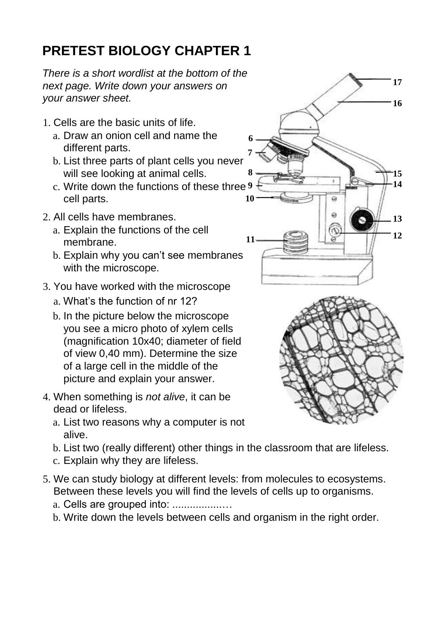## **PRETEST BIOLOGY CHAPTER 1**

*There is a short wordlist at the bottom of the next page. Write down your answers on your answer sheet.*

- 1. Cells are the basic units of life.
	- a. Draw an onion cell and name the different parts.
	- b. List three parts of plant cells you never will see looking at animal cells.
	- c. Write down the functions of these three **9** cell parts.
- 2. All cells have membranes.
	- a. Explain the functions of the cell membrane.
	- b. Explain why you can't see membranes with the microscope.
- 3. You have worked with the microscope
	- a. What's the function of nr 12?
	- b. In the picture below the microscope you see a micro photo of xylem cells (magnification 10x40; diameter of field of view 0,40 mm). Determine the size of a large cell in the middle of the picture and explain your answer.
- 4. When something is *not alive*, it can be dead or lifeless.
	- a. List two reasons why a computer is not alive.
	- b. List two (really different) other things in the classroom that are lifeless.
	- c. Explain why they are lifeless.
- 5. We can study biology at different levels: from molecules to ecosystems. Between these levels you will find the levels of cells up to organisms.
	- a. Cells are grouped into: .................…
	- b. Write down the levels between cells and organism in the right order.